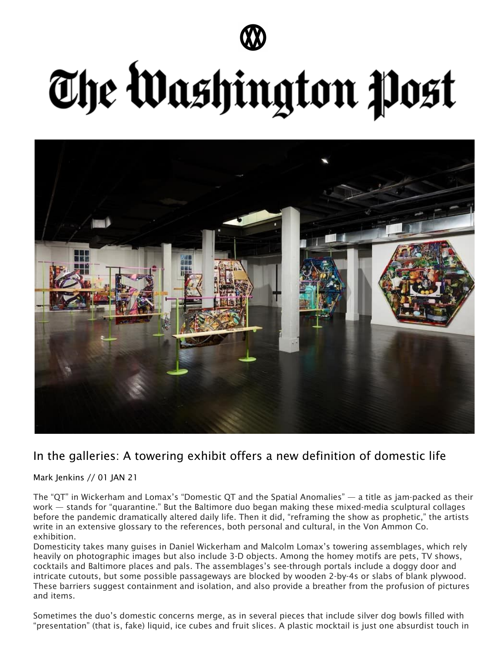

## The Washington Post



## In the galleries: A towering exhibit offers a new definition of domestic life

Mark Jenkins // 01 JAN 21

The "QT" in Wickerham and Lomax's "Domestic QT and the Spatial Anomalies" — a title as jam-packed as their work — stands for "quarantine." But the Baltimore duo began making these mixed-media sculptural collages before the pandemic dramatically altered daily life. Then it did, "reframing the show as prophetic," the artists write in an extensive glossary to the references, both personal and cultural, in the Von Ammon Co. exhibition.

Domesticity takes many guises in Daniel Wickerham and Malcolm Lomax's towering assemblages, which rely heavily on photographic images but also include 3-D objects. Among the homey motifs are pets, TV shows, cocktails and Baltimore places and pals. The assemblages's see-through portals include a doggy door and intricate cutouts, but some possible passageways are blocked by wooden 2-by-4s or slabs of blank plywood. These barriers suggest containment and isolation, and also provide a breather from the profusion of pictures and items.

Sometimes the duo's domestic concerns merge, as in several pieces that include silver dog bowls filled with "presentation" (that is, fake) liquid, ice cubes and fruit slices. A plastic mocktail is just one absurdist touch in